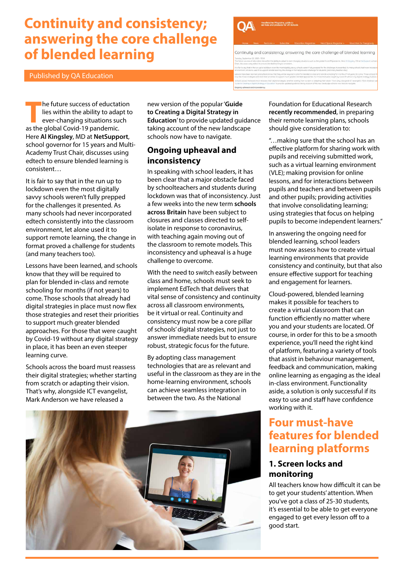# **Continuity and consistency; answering the core challenge of blended learning**

Published by QA Education



Continuity and consistency; answering the core challenge of blended learning

**The future success of eductation<br>
lies within the ability to adapt to<br>
ever-changing situations such<br>
as the global Covid 19 pandomic** lies within the ability to adapt to as the global Covid-19 pandemic. Here **[Al Kingsley](https://www.linkedin.com/in/alkingsley1/)**, MD at **[NetSupport](https://www.netsupportsoftware.com/)**, school governor for 15 years and Multi-Academy Trust Chair, discusses using edtech to ensure blended learning is consistent…

It is fair to say that in the run up to lockdown even the most digitally savvy schools weren't fully prepped for the challenges it presented. As many schools had never incorporated edtech consistently into the classroom environment, let alone used it to support remote learning, the change in format proved a challenge for students (and many teachers too).

Lessons have been learned, and schools know that they will be required to plan for blended in-class and remote schooling for months (if not years) to come. Those schools that already had digital strategies in place must now flex those strategies and reset their priorities to support much greater blended approaches. For those that were caught by Covid-19 without any digital strategy in place, it has been an even steeper learning curve.

Schools across the board must reassess their digital strategies; whether starting from scratch or adapting their vision. That's why, alongside ICT evangelist, Mark Anderson we have released a

new version of the popular '**[Guide](https://www.netsupportsoftware.com/digital-strategy/)  [to Creating a Digital Strategy in](https://www.netsupportsoftware.com/digital-strategy/)  [Education](https://www.netsupportsoftware.com/digital-strategy/)**' to provide updated guidance taking account of the new landscape schools now have to navigate.

# **Ongoing upheaval and inconsistency**

In speaking with school leaders, it has been clear that a major obstacle faced by schoolteachers and students during lockdown was that of inconsistency. Just a few weeks into the new term **[schools](https://www.theguardian.com/world/2020/sep/07/teachers-at-suffolk-school-test-positive-for-coronavirus)  [across Britain](https://www.theguardian.com/world/2020/sep/07/teachers-at-suffolk-school-test-positive-for-coronavirus)** have been subject to closures and classes directed to selfisolate in response to coronavirus, with teaching again moving out of the classroom to remote models. This inconsistency and upheaval is a huge challenge to overcome.

With the need to switch easily between class and home, schools must seek to implement EdTech that delivers that vital sense of consistency and continuity across all classroom environments, be it virtual or real. Continuity and consistency must now be a core pillar of schools' digital strategies, not just to answer immediate needs but to ensure robust, strategic focus for the future.

By adopting class management technologies that are as relevant and useful in the classroom as they are in the home-learning environment, schools can achieve seamless integration in between the two. As the National



Foundation for Educational Research **[recently recommended](https://www.nfer.ac.uk/media/4119/schools_responses_to_covid_19_the_challenges_facing_schools_and_pupils_in_september_2020.pdf)**, in preparing their remote learning plans, schools should give consideration to:

"…making sure that the school has an effective platform for sharing work with pupils and receiving submitted work, such as a virtual learning environment (VLE); making provision for online lessons, and for interactions between pupils and teachers and between pupils and other pupils; providing activities that involve consolidating learning; using strategies that focus on helping pupils to become independent learners."

In answering the ongoing need for blended learning, school leaders must now assess how to create virtual learning environments that provide consistency and continuity, but that also ensure effective support for teaching and engagement for learners.

Cloud-powered, blended learning makes it possible for teachers to create a virtual classroom that can function efficiently no matter where you and your students are located. Of course, in order for this to be a smooth experience, you'll need the right kind of platform, featuring a variety of tools that assist in behaviour management, feedback and communication, making online learning as engaging as the ideal in-class environment. Functionality aside, a solution is only successful if its easy to use and staff have confidence working with it.

# **Four must-have features for blended learning platforms**

# **1. Screen locks and monitoring**

All teachers know how difficult it can be to get your students' attention. When you've got a class of 25-30 students, it's essential to be able to get everyone engaged to get every lesson off to a good start.